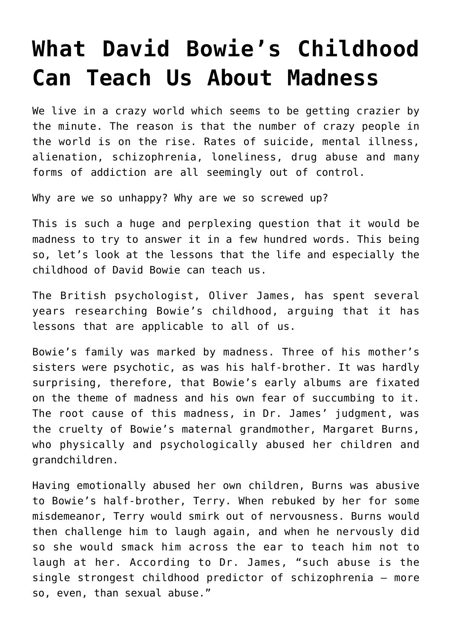## **[What David Bowie's Childhood](https://intellectualtakeout.org/2016/07/what-david-bowies-childhood-can-teach-us-about-madness/) [Can Teach Us About Madness](https://intellectualtakeout.org/2016/07/what-david-bowies-childhood-can-teach-us-about-madness/)**

We live in a crazy world which seems to be getting crazier by the minute. The reason is that the number of crazy people in the world is on the rise. Rates of suicide, mental illness, alienation, schizophrenia, loneliness, drug abuse and many forms of addiction are all seemingly out of control.

Why are we so unhappy? Why are we so screwed up?

This is such a huge and perplexing question that it would be madness to try to answer it in a few hundred words. This being so, let's look at the lessons that the life and especially the childhood of David Bowie can teach us.

The British psychologist, Oliver James, has spent several years researching Bowie's childhood, arguing that it has lessons that are applicable to all of us.

Bowie's family was marked by madness. Three of his mother's sisters were psychotic, as was his half-brother. It was hardly surprising, therefore, that Bowie's early albums are fixated on the theme of madness and his own fear of succumbing to it. The root cause of this madness, in Dr. James' judgment, was the cruelty of Bowie's maternal grandmother, Margaret Burns, who physically and psychologically abused her children and grandchildren.

Having emotionally abused her own children, Burns was abusive to Bowie's half-brother, Terry. When rebuked by her for some misdemeanor, Terry would smirk out of nervousness. Burns would then challenge him to laugh again, and when he nervously did so she would smack him across the ear to teach him not to laugh at her. According to Dr. James, "such abuse is the single strongest childhood predictor of schizophrenia – more so, even, than sexual abuse."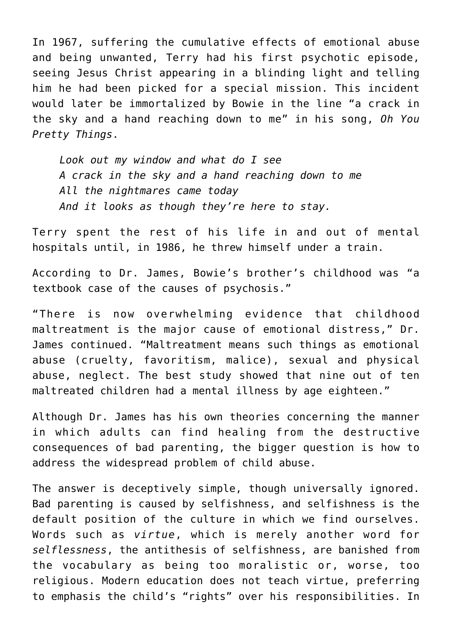In 1967, suffering the cumulative effects of emotional abuse and being unwanted, Terry had his first psychotic episode, seeing Jesus Christ appearing in a blinding light and telling him he had been picked for a special mission. This incident would later be immortalized by Bowie in the line "a crack in the sky and a hand reaching down to me" in his song, *Oh You Pretty Things*.

*Look out my window and what do I see A crack in the sky and a hand reaching down to me All the nightmares came today And it looks as though they're here to stay.*

Terry spent the rest of his life in and out of mental hospitals until, in 1986, he threw himself under a train.

According to Dr. James, Bowie's brother's childhood was "a textbook case of the causes of psychosis."

"There is now overwhelming evidence that childhood maltreatment is the major cause of emotional distress," Dr. James continued. "Maltreatment means such things as emotional abuse (cruelty, favoritism, malice), sexual and physical abuse, neglect. The best study showed that nine out of ten maltreated children had a mental illness by age eighteen."

Although Dr. James has his own theories concerning the manner in which adults can find healing from the destructive consequences of bad parenting, the bigger question is how to address the widespread problem of child abuse.

The answer is deceptively simple, though universally ignored. Bad parenting is caused by selfishness, and selfishness is the default position of the culture in which we find ourselves. Words such as *virtue*, which is merely another word for *selflessness*, the antithesis of selfishness, are banished from the vocabulary as being too moralistic or, worse, too religious. Modern education does not teach virtue, preferring to emphasis the child's "rights" over his responsibilities. In